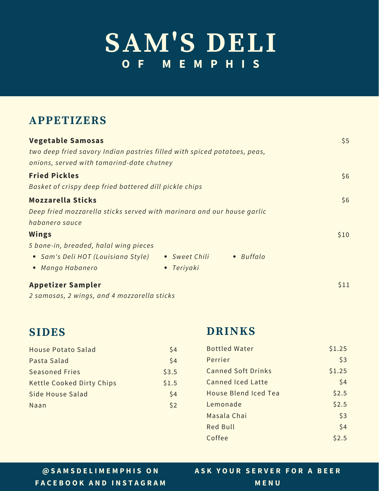## **SAM'S DELI O F M E M P H I S**

### **APPETIZERS**

| <b>Vegetable Samosas</b>                                                 |               |           | \$5  |
|--------------------------------------------------------------------------|---------------|-----------|------|
| two deep fried savory Indian pastries filled with spiced potatoes, peas, |               |           |      |
| onions, served with tamarind-date chutney                                |               |           |      |
| <b>Fried Pickles</b>                                                     |               |           | \$6  |
| Basket of crispy deep fried battered dill pickle chips                   |               |           |      |
| <b>Mozzarella Sticks</b>                                                 |               |           | \$6  |
| Deep fried mozzarella sticks served with marinara and our house garlic   |               |           |      |
| habanero sauce                                                           |               |           |      |
| <b>Wings</b>                                                             |               |           | \$10 |
| 5 bone-in, breaded, halal wing pieces                                    |               |           |      |
| • Sam's Deli HOT (Louisiana Style)                                       | • Sweet Chili | • Buffalo |      |
| • Mango Habanero                                                         | · Teriyaki    |           |      |
| <b>Appetizer Sampler</b>                                                 |               |           | \$11 |
|                                                                          |               |           |      |

*2 samosas, 2 wings, and 4 mozzarella sticks*

### **SIDES DRINKS**

| House Potato Salad               | S4            |
|----------------------------------|---------------|
| Pasta Salad                      | \$4           |
| <b>Seasoned Fries</b>            | \$3.5         |
| <b>Kettle Cooked Dirty Chips</b> | \$1.5         |
| Side House Salad                 | $\mathsf{S}4$ |
| Naan                             | 52            |
|                                  |               |

| <b>Bottled Water</b>        | \$1.25           |
|-----------------------------|------------------|
| Perrier                     | \$3              |
| <b>Canned Soft Drinks</b>   | \$1.25           |
| <b>Canned Iced Latte</b>    | \$4              |
| <b>House Blend Iced Tea</b> | \$2.5            |
| Lemonade                    | \$2.5            |
| Masala Chai                 | \$3              |
| Red Bull                    | \$4              |
| Coffee                      | S <sub>2.5</sub> |

#### **A S K Y O U R S E R V E R F O R A B E E R M E N U**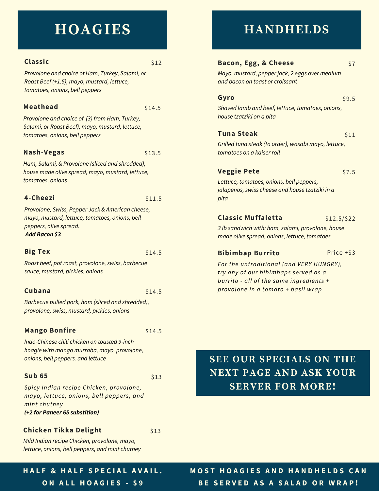### **HOAGIES**

#### **Classic**  $$12$

*Provolone and choice of Ham, Turkey, Salami, or Roast Beef (+1.5), mayo, mustard, lettuce, tomatoes, onions, bell peppers*

#### **Meathead** \$14.5

*Provolone and choice of (3) from Ham, Turkey, Salami, or Roast Beef), mayo, mustard, lettuce, tomatoes, onions, bell peppers*

#### **Nash-Vegas** \$13.5

*Ham, Salami, & Provolone (sliced and shredded), house made olive spread, mayo, mustard, lettuce, tomatoes, onions*

#### **4-Cheezi** \$11.5

*Provolone, Swiss, Pepper Jack & American cheese, mayo, mustard, lettuce, tomatoes, onions, bell peppers, olive spread. Add Bacon \$3*

**Big Tex** \$14.5

*Roast beef, pot roast, provolone, swiss, barbecue sauce, mustard, pickles, onions*

#### **Cubana** \$14.5

*Barbecue pulled pork, ham (sliced and shredded), provolone, swiss, mustard, pickles, onions*

#### **Mango Bonfire** \$14.5

*Indo-Chinese chili chicken on toasted 9-inch hoagie with mango murraba, mayo. provolone, onions, bell peppers. and lettuce*

#### **Sub** 65 \$13

*Spicy Indian recipe Chicken, provolone, mayo, lettuce, onions, bell peppers, and mint chutney (+2 for Paneer 65 substition)*

#### **Chicken Tikka Delight** \$13

*Mild Indian recipe Chicken, provolone, mayo, lettuce, onions, bell peppers, and mint chutney*

### **H A L F & H A L F S P E C I A L A V A I L .**

**O N A L L H O A G I E S - \$ 9**

### **HANDHELDS**

#### **Bacon, Egg, & Cheese** \$7

*Mayo, mustard, pepper jack, 2 eggs over medium and bacon on toast or croissant*

#### **Gyro** \$9.5

*Shaved lamb and beef, lettuce, tomatoes, onions, house tzatziki on a pita*

#### **Tuna Steak** \$11

*Grilled tuna steak (to order), wasabi mayo, lettuce, tomatoes on a kaiser roll*

#### **Veggie Pete** \$7.5

*Lettuce, tomatoes, onions, bell peppers, jalapenos, swiss cheese and house tzatziki in a pita*

#### **Classic Muffaletta** \$12.5/\$22

*3 lb sandwich with: ham, salami, provolone, house made olive spread, onions, lettuce, tomatoes*

#### **Bibimbap Burrito** Price +\$3

*For the untraditional (and VERY HUNGRY), try any of our bibimbaps served as a burrito - all of the same ingredients + provolone in a tomato + basil wrap*

### **SEE OUR SPECIALS ON THE NEXT PAGE AND ASK YOUR SERVER FOR MORE!**

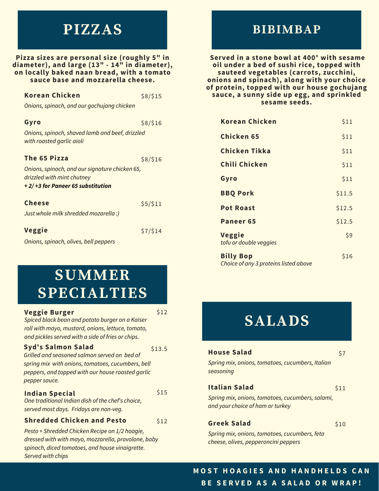### **PIZZAS**

| Pizza sizes are personal size (roughly 5" in<br>diameter), and large (13" - 14" in diameter),<br>on locally baked naan bread, with a tomato<br>sauce base and mozzarella cheese. |          |
|----------------------------------------------------------------------------------------------------------------------------------------------------------------------------------|----------|
| <b>Korean Chicken</b>                                                                                                                                                            | \$8/\$15 |
| Onions, spinach, and our gochujang chicken                                                                                                                                       |          |
| Gyro                                                                                                                                                                             | \$8/\$16 |
| Onions, spinach, shaved lamb and beef, drizzled<br>with roasted garlic aioli                                                                                                     |          |
| The 65 Pizza                                                                                                                                                                     | \$8/\$16 |
| Onions, spinach, and our signature chicken 65,<br>drizzled with mint chutney<br>+ 2/ +3 for Paneer 65 substitution                                                               |          |
| <b>Cheese</b>                                                                                                                                                                    | \$5/\$11 |
| Just whole milk shredded mozarella :)                                                                                                                                            |          |
| Veggie                                                                                                                                                                           | S7/S14   |

*Onions, spinach, olives, bell peppers*

### **SUMMER SPECIALTIES**

#### **Veggie Burger** \$12

*Spiced black bean and potato burger on a Kaiser roll with mayo, mustard, onions, lettuce, tomato, and pickles served with a side of fries or chips.*

#### **Syd's Salmon Salad** \$13.5

*Grilled and seasoned salmon served on bed of spring mix with onions, tomatoes, cucumbers, bell peppers, and topped with our house roasted garlic pepper sauce.*

#### **Indian Special** \$15

*One traditional Indian dish of the chef's choice, served most days. Fridays are non-veg.*

#### **Shredded Chicken and Pesto** \$12

*Pesto + Shredded Chicken Recipe on 1/2 hoagie, dressed with with mayo, mozzarella, provolone, baby spinach, diced tomatoes, and house vinaigrette. Served with chips*

### **BIBIMBAP**

**Served in a stone bowl at 400° with sesame oil under a bed of sushi rice, topped with sauteed vegetables (carrots, zucchini, onions and spinach), along with your choice of protein, topped with our house gochujang sauce, a sunny side up egg, and sprinkled sesame seeds.**

| Korean Chicken                                            | \$11   |
|-----------------------------------------------------------|--------|
| <b>Chicken 65</b>                                         | \$11   |
| Chicken Tikka                                             | \$11   |
| Chili Chicken                                             | \$11   |
| Gyro                                                      | \$11   |
| <b>BBQ Pork</b>                                           | \$11.5 |
| <b>Pot Roast</b>                                          | \$12.5 |
| Paneer 65                                                 | \$12.5 |
| <b>Veggie</b><br>tofu or double veggies                   | \$9    |
| <b>Billy Bop</b><br>Choice of any 3 proteins listed above | \$16   |

### **SALADS**

| <b>House Salad</b>                                                                   | S7   |
|--------------------------------------------------------------------------------------|------|
| Spring mix, onions, tomatoes, cucumbers, Italian<br>seasoning                        |      |
| Italian Salad                                                                        | \$11 |
| Spring mix, onions, tomatoes, cucumbers, salami,<br>and your choice of ham or turkey |      |

#### **Greek Salad** \$10

*Spring mix, onions, tomatoes, cucumbers, feta cheese, olives, pepperoncini peppers*

#### **MOST HOAGIES AND HANDHELDS CAN B E S E R V E D A S A S A L A D O R W R A P !**